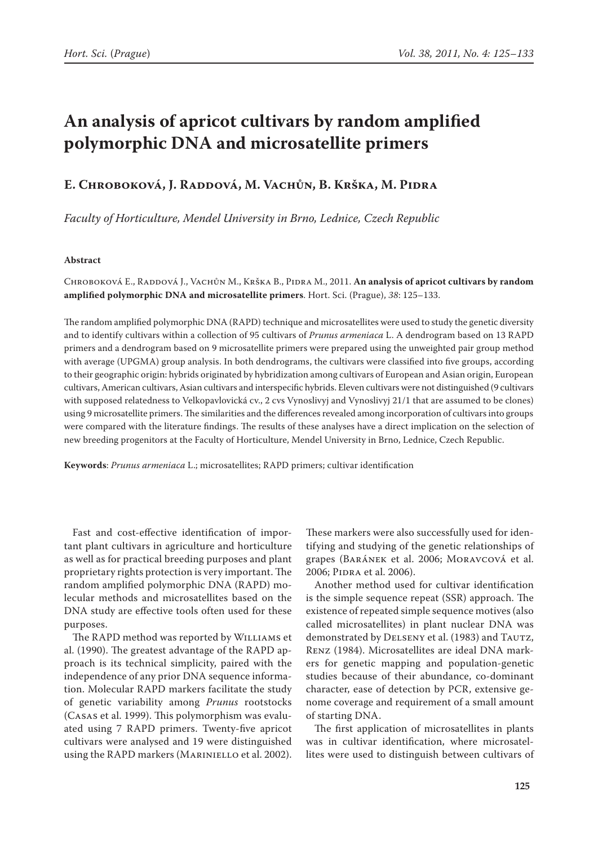# **An analysis of apricot cultivars by random amplified polymorphic DNA and microsatellite primers**

## **E. Chroboková, J. Raddová, M. Vachůn, B. Krška, M. Pidra**

*Faculty of Horticulture, Mendel University in Brno, Lednice, Czech Republic*

## **Abstract**

CHROBOKOVÁ E., RADDOVÁ J., VACHŮN M., KRŠKA B., PIDRA M., 2011. **An analysis of apricot cultivars by random amplified polymorphic DNA and microsatellite primers**. Hort. Sci. (Prague), *38*: 125–133.

The random amplified polymorphic DNA (RAPD) technique and microsatellites were used to study the genetic diversity and to identify cultivars within a collection of 95 cultivars of *Prunus armeniaca* L. A dendrogram based on 13 RAPD primers and a dendrogram based on 9 microsatellite primers were prepared using the unweighted pair group method with average (UPGMA) group analysis. In both dendrograms, the cultivars were classified into five groups, according to their geographic origin: hybrids originated by hybridization among cultivars of European and Asian origin, European cultivars, American cultivars, Asian cultivars and interspecific hybrids. Eleven cultivars were not distinguished (9 cultivars with supposed relatedness to Velkopavlovická cv., 2 cvs Vynoslivyj and Vynoslivyj 21/1 that are assumed to be clones) using 9 microsatellite primers. The similarities and the differences revealed among incorporation of cultivars into groups were compared with the literature findings. The results of these analyses have a direct implication on the selection of new breeding progenitors at the Faculty of Horticulture, Mendel University in Brno, Lednice, Czech Republic.

**Keywords**: *Prunus armeniaca* L.; microsatellites; RAPD primers; cultivar identification

Fast and cost-effective identification of important plant cultivars in agriculture and horticulture as well as for practical breeding purposes and plant proprietary rights protection is very important. The random amplified polymorphic DNA (RAPD) molecular methods and microsatellites based on the DNA study are effective tools often used for these purposes.

The RAPD method was reported by Williams et al. (1990). The greatest advantage of the RAPD approach is its technical simplicity, paired with the independence of any prior DNA sequence information. Molecular RAPD markers facilitate the study of genetic variability among *Prunus* rootstocks (Casas et al. 1999). This polymorphism was evaluated using 7 RAPD primers. Twenty-five apricot cultivars were analysed and 19 were distinguished using the RAPD markers (Mariniello et al. 2002).

These markers were also successfully used for identifying and studying of the genetic relationships of grapes (Baránek et al. 2006; Moravcová et al. 2006; Pidra et al. 2006).

Another method used for cultivar identification is the simple sequence repeat (SSR) approach. The existence of repeated simple sequence motives (also called microsatellites) in plant nuclear DNA was demonstrated by DELSENY et al. (1983) and TAUTZ, Renz (1984). Microsatellites are ideal DNA markers for genetic mapping and population-genetic studies because of their abundance, co-dominant character, ease of detection by PCR, extensive genome coverage and requirement of a small amount of starting DNA.

The first application of microsatellites in plants was in cultivar identification, where microsatellites were used to distinguish between cultivars of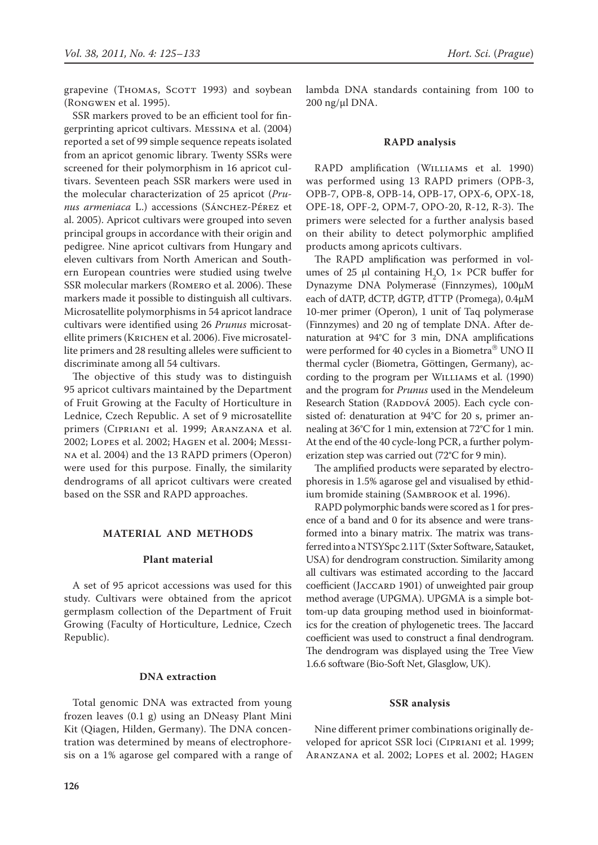grapevine (THOMAS, SCOTT 1993) and soybean (Rongwen et al. 1995).

SSR markers proved to be an efficient tool for fingerprinting apricot cultivars. Messina et al. (2004) reported a set of 99 simple sequence repeats isolated from an apricot genomic library. Twenty SSRs were screened for their polymorphism in 16 apricot cultivars. Seventeen peach SSR markers were used in the molecular characterization of 25 apricot (*Prunus armeniaca* L.) accessions (Sánchez-Pérez et al. 2005). Apricot cultivars were grouped into seven principal groups in accordance with their origin and pedigree. Nine apricot cultivars from Hungary and eleven cultivars from North American and Southern European countries were studied using twelve SSR molecular markers (Romero et al. 2006). These markers made it possible to distinguish all cultivars. Microsatellite polymorphisms in 54 apricot landrace cultivars were identified using 26 *Prunus* microsatellite primers (Krichen et al. 2006). Five microsatellite primers and 28 resulting alleles were sufficient to discriminate among all 54 cultivars.

The objective of this study was to distinguish 95 apricot cultivars maintained by the Department of Fruit Growing at the Faculty of Horticulture in Lednice, Czech Republic. A set of 9 microsatellite primers (Cipriani et al. 1999; Aranzana et al. 2002; Lopes et al. 2002; Hagen et al. 2004; Messina et al. 2004) and the 13 RAPD primers (Operon) were used for this purpose. Finally, the similarity dendrograms of all apricot cultivars were created based on the SSR and RAPD approaches.

## **Material and methods**

## **Plant material**

A set of 95 apricot accessions was used for this study. Cultivars were obtained from the apricot germplasm collection of the Department of Fruit Growing (Faculty of Horticulture, Lednice, Czech Republic).

### **DNA extraction**

Total genomic DNA was extracted from young frozen leaves (0.1 g) using an DNeasy Plant Mini Kit (Qiagen, Hilden, Germany). The DNA concentration was determined by means of electrophoresis on a 1% agarose gel compared with a range of lambda DNA standards containing from 100 to  $200$  ng/ $\mu$ l DNA.

#### **RAPD analysis**

RAPD amplification (Williams et al. 1990) was performed using 13 RAPD primers (OPB-3, OPB-7, OPB-8, OPB-14, OPB-17, OPX-6, OPX-18, OPE-18, OPF-2, OPM-7, OPO-20, R-12, R-3). The primers were selected for a further analysis based on their ability to detect polymorphic amplified products among apricots cultivars.

The RAPD amplification was performed in volumes of 25  $\mu$  containing H<sub>2</sub>O, 1× PCR buffer for Dynazyme DNA Polymerase (Finnzymes), 100µM each of dATP, dCTP, dGTP, dTTP (Promega), 0.4µM 10-mer primer (Operon), 1 unit of Taq polymerase (Finnzymes) and 20 ng of template DNA. After denaturation at 94°C for 3 min, DNA amplifications were performed for 40 cycles in a Biometra® UNO II thermal cycler (Biometra, Göttingen, Germany), according to the program per Williams et al. (1990) and the program for *Prunus* used in the Mendeleum Research Station (RADDOVÁ 2005). Each cycle consisted of: denaturation at 94°C for 20 s, primer annealing at 36°C for 1 min, extension at 72°C for 1 min. At the end of the 40 cycle-long PCR, a further polymerization step was carried out (72°C for 9 min).

The amplified products were separated by electrophoresis in 1.5% agarose gel and visualised by ethidium bromide staining (Sambrook et al. 1996).

RAPD polymorphic bands were scored as 1 for presence of a band and 0 for its absence and were transformed into a binary matrix. The matrix was transferred into a NTSYSpc 2.11T (Sxter Software, Satauket, USA) for dendrogram construction. Similarity among all cultivars was estimated according to the Jaccard coefficient (JACCARD 1901) of unweighted pair group method average (UPGMA). UPGMA is a simple bottom-up data grouping method used in bioinformatics for the creation of phylogenetic trees. The Jaccard coefficient was used to construct a final dendrogram. The dendrogram was displayed using the Tree View 1.6.6 software (Bio-Soft Net, Glasglow, UK).

#### **SSR analysis**

Nine different primer combinations originally developed for apricot SSR loci (Cipriani et al. 1999; Aranzana et al. 2002; Lopes et al. 2002; Hagen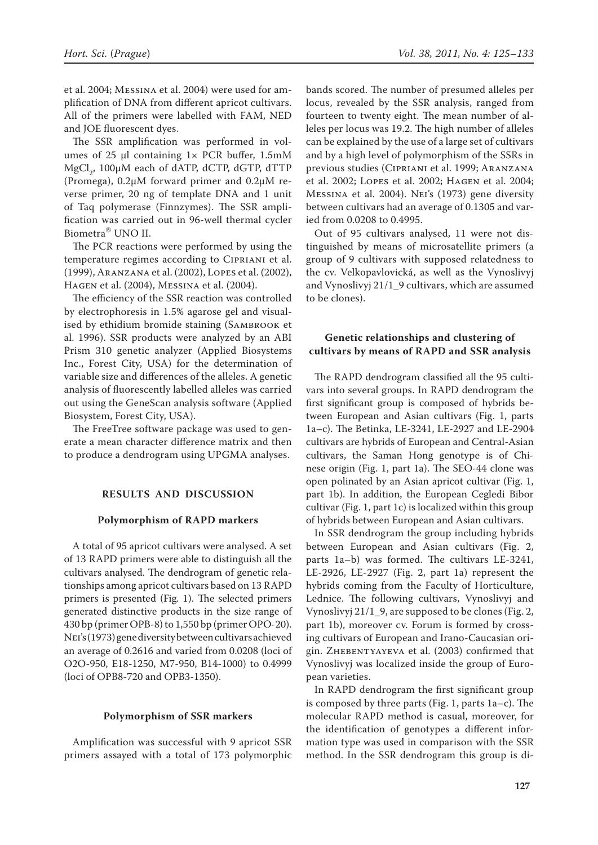et al. 2004; Messina et al. 2004) were used for amplification of DNA from different apricot cultivars. All of the primers were labelled with FAM, NED and JOE fluorescent dyes.

The SSR amplification was performed in volumes of 25 μl containing  $1 \times PCR$  buffer,  $1.5 \text{mM}$ MgCl<sub>2</sub>, 100 $\mu$ M each of dATP, dCTP, dGTP, dTTP (Promega), 0.2µM forward primer and 0.2µM reverse primer, 20 ng of template DNA and 1 unit of Taq polymerase (Finnzymes). The SSR amplification was carried out in 96-well thermal cycler Biometra<sup>®</sup> UNO II.

The PCR reactions were performed by using the temperature regimes according to Cipriani et al. (1999), Aranzana et al. (2002), Lopes et al. (2002), Hagen et al. (2004), Messina et al. (2004).

The efficiency of the SSR reaction was controlled by electrophoresis in 1.5% agarose gel and visualised by ethidium bromide staining (Sambrook et al. 1996). SSR products were analyzed by an ABI Prism 310 genetic analyzer (Applied Biosystems Inc., Forest City, USA) for the determination of variable size and differences of the alleles. A genetic analysis of fluorescently labelled alleles was carried out using the GeneScan analysis software (Applied Biosystem, Forest City, USA).

The FreeTree software package was used to generate a mean character difference matrix and then to produce a dendrogram using UPGMA analyses.

#### **Results and Discussion**

#### **Polymorphism of RAPD markers**

A total of 95 apricot cultivars were analysed. A set of 13 RAPD primers were able to distinguish all the cultivars analysed. The dendrogram of genetic relationships among apricot cultivars based on 13 RAPD primers is presented (Fig*.* 1). The selected primers generated distinctive products in the size range of 430 bp (primer OPB-8) to 1,550 bp (primer OPO-20). Nei's (1973) gene diversity between cultivars achieved an average of 0.2616 and varied from 0.0208 (loci of O2O-950, E18-1250, M7-950, B14-1000) to 0.4999 (loci of OPB8-720 and OPB3-1350).

#### **Polymorphism of SSR markers**

Amplification was successful with 9 apricot SSR primers assayed with a total of 173 polymorphic

bands scored. The number of presumed alleles per locus, revealed by the SSR analysis, ranged from fourteen to twenty eight. The mean number of alleles per locus was 19.2. The high number of alleles can be explained by the use of a large set of cultivars and by a high level of polymorphism of the SSRs in previous studies (Cipriani et al. 1999; Aranzana et al. 2002; Lopes et al. 2002; Hagen et al. 2004; Messina et al. 2004). Nei's (1973) gene diversity between cultivars had an average of 0.1305 and varied from 0.0208 to 0.4995.

Out of 95 cultivars analysed, 11 were not distinguished by means of microsatellite primers (a group of 9 cultivars with supposed relatedness to the cv. Velkopavlovická, as well as the Vynoslivyj and Vynoslivyj 21/1\_9 cultivars, which are assumed to be clones).

## **Genetic relationships and clustering of cultivars by means of RAPD and SSR analysis**

The RAPD dendrogram classified all the 95 cultivars into several groups. In RAPD dendrogram the first significant group is composed of hybrids between European and Asian cultivars (Fig. 1, parts 1a–c). The Betinka, LE-3241, LE-2927 and LE-2904 cultivars are hybrids of European and Central-Asian cultivars, the Saman Hong genotype is of Chinese origin (Fig. 1, part 1a). The SEO-44 clone was open polinated by an Asian apricot cultivar (Fig. 1, part 1b). In addition, the European Cegledi Bibor cultivar (Fig. 1, part 1c) is localized within this group of hybrids between European and Asian cultivars.

In SSR dendrogram the group including hybrids between European and Asian cultivars (Fig. 2, parts 1a–b) was formed. The cultivars LE-3241, LE-2926, LE-2927 (Fig. 2, part 1a) represent the hybrids coming from the Faculty of Horticulture, Lednice. The following cultivars, Vynoslivyj and Vynoslivyj 21/1\_9, are supposed to be clones (Fig. 2, part 1b), moreover cv. Forum is formed by crossing cultivars of European and Irano-Caucasian origin. Zhebentyayeva et al. (2003) confirmed that Vynoslivyj was localized inside the group of European varieties.

In RAPD dendrogram the first significant group is composed by three parts (Fig. 1, parts 1a–c). The molecular RAPD method is casual, moreover, for the identification of genotypes a different information type was used in comparison with the SSR method. In the SSR dendrogram this group is di-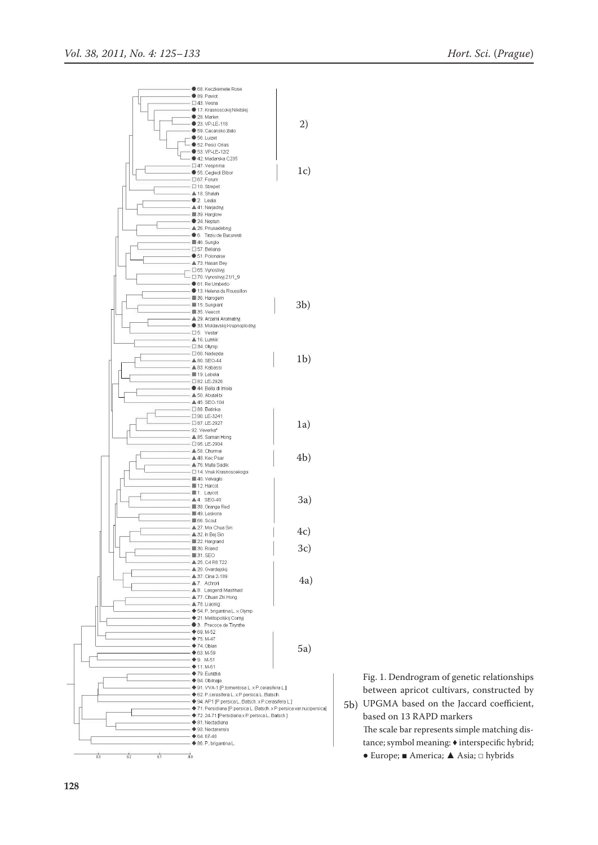

Fig. 1. Dendrogram of genetic relationships between apricot cultivars, constructed by UPGMA based on the Jaccard coefficient, 5b)

based on 13 RAPD markers The scale bar represents simple matching distance; symbol meaning: ♦ interspecific hybrid; ● Europe; ■ America; ▲ Asia; □ hybrids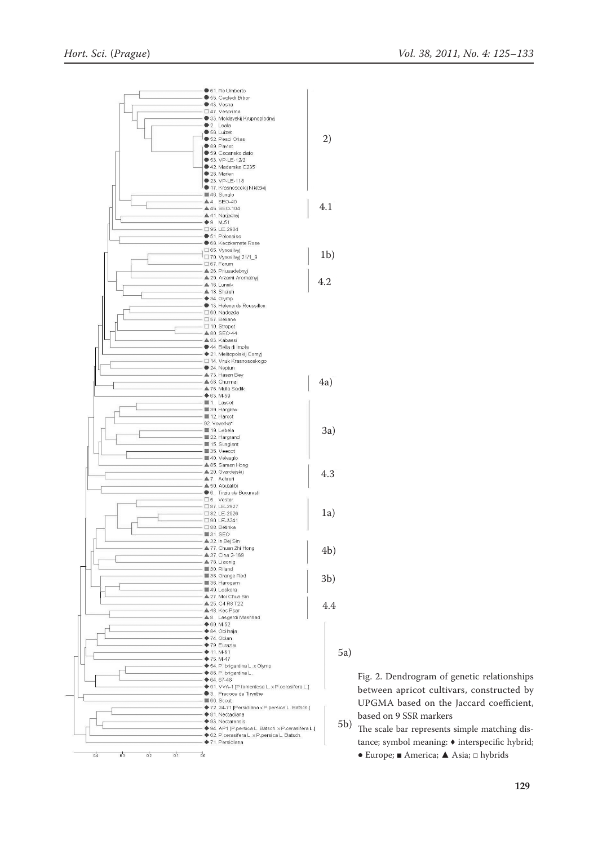

5a)

Fig. 2. Dendrogram of genetic relationships between apricot cultivars, constructed by UPGMA based on the Jaccard coefficient, based on 9 SSR markers

The scale bar represents simple matching distance; symbol meaning: ♦ interspecific hybrid; 5b)

● Europe; ■ America; ▲ Asia; □ hybrids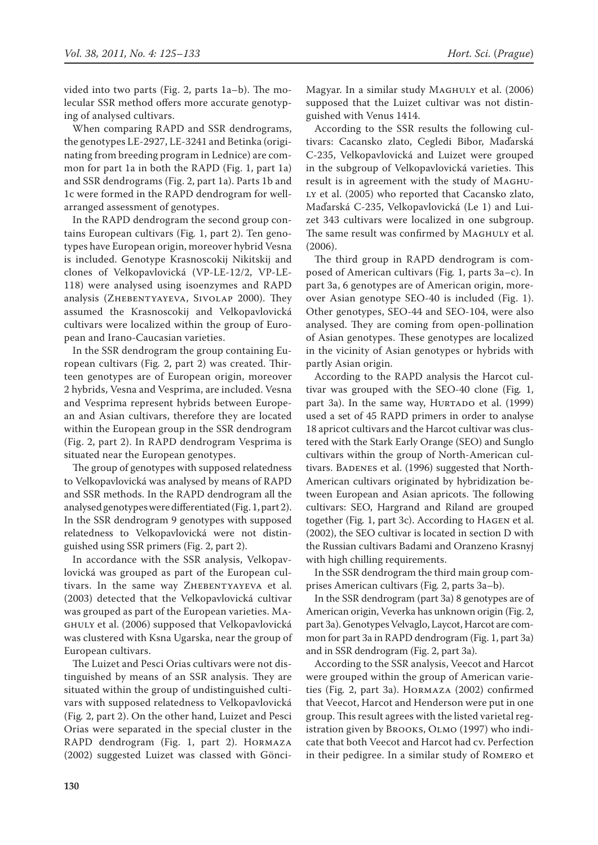vided into two parts (Fig. 2, parts 1a–b). The molecular SSR method offers more accurate genotyping of analysed cultivars.

When comparing RAPD and SSR dendrograms, the genotypes LE-2927, LE-3241 and Betinka (originating from breeding program in Lednice) are common for part 1a in both the RAPD (Fig. 1, part 1a) and SSR dendrograms (Fig. 2, part 1a). Parts 1b and 1c were formed in the RAPD dendrogram for wellarranged assessment of genotypes.

In the RAPD dendrogram the second group contains European cultivars (Fig*.* 1, part 2). Ten genotypes have European origin, moreover hybrid Vesna is included. Genotype Krasnoscokij Nikitskij and clones of Velkopavlovická (VP-LE-12/2, VP-LE-118) were analysed using isoenzymes and RAPD analysis (ZHEBENTYAYEVA, SIVOLAP 2000). They assumed the Krasnoscokij and Velkopavlovická cultivars were localized within the group of European and Irano-Caucasian varieties.

In the SSR dendrogram the group containing European cultivars (Fig*.* 2, part 2) was created. Thirteen genotypes are of European origin, moreover 2 hybrids, Vesna and Vesprima, are included. Vesna and Vesprima represent hybrids between European and Asian cultivars, therefore they are located within the European group in the SSR dendrogram (Fig. 2, part 2). In RAPD dendrogram Vesprima is situated near the European genotypes.

The group of genotypes with supposed relatedness to Velkopavlovická was analysed by means of RAPD and SSR methods. In the RAPD dendrogram all the analysed genotypes were differentiated (Fig.1, part 2). In the SSR dendrogram 9 genotypes with supposed relatedness to Velkopavlovická were not distinguished using SSR primers (Fig. 2, part 2).

In accordance with the SSR analysis, velkopavlovická was grouped as part of the European cultivars. In the same way ZHEBENTYAYEVA et al. (2003) detected that the Velkopavlovická cultivar was grouped as part of the European varieties. Maghuly et al. (2006) supposed that velkopavlovická was clustered with Ksna Ugarska, near the group of European cultivars.

The Luizet and Pesci Orias cultivars were not distinguished by means of an SSR analysis. They are situated within the group of undistinguished cultivars with supposed relatedness to Velkopavlovická (Fig*.* 2, part 2). On the other hand, Luizet and Pesci Orias were separated in the special cluster in the RAPD dendrogram (Fig. 1, part 2). Hormaza (2002) suggested Luizet was classed with GönciMagyar. In a similar study MAGHULY et al. (2006) supposed that the Luizet cultivar was not distinguished with Venus 1414.

According to the SSR results the following cultivars: Cacansko zlato, Cegledi Bibor, Maďarská C-235, Velkopavlovická and Luizet were grouped in the subgroup of Velkopavlovická varieties. This result is in agreement with the study of Maghu-LY et al. (2005) who reported that Cacansko zlato, Maďarská C-235, Velkopavlovická (Le 1) and Luizet 343 cultivars were localized in one subgroup. The same result was confirmed by MAGHULY et al. (2006).

The third group in RAPD dendrogram is composed of American cultivars (Fig*.* 1, parts 3a–c). In part 3a, 6 genotypes are of American origin, moreover Asian genotype SEO-40 is included (Fig. 1). Other genotypes, SEO-44 and SEO-104, were also analysed. They are coming from open-pollination of Asian genotypes. These genotypes are localized in the vicinity of Asian genotypes or hybrids with partly Asian origin.

According to the RAPD analysis the Harcot cultivar was grouped with the SEO-40 clone (Fig*.* 1, part 3a). In the same way, HURTADO et al. (1999) used a set of 45 RAPD primers in order to analyse 18 apricot cultivars and the Harcot cultivar was clustered with the Stark Early Orange (SEO) and Sunglo cultivars within the group of North-American cultivars. BADENES et al. (1996) suggested that North-American cultivars originated by hybridization between European and Asian apricots. The following cultivars: SEO, Hargrand and Riland are grouped together (Fig*.* 1, part 3c). According to Hagen et al. (2002), the SEO cultivar is located in section D with the Russian cultivars Badami and Oranzeno Krasnyj with high chilling requirements.

In the SSR dendrogram the third main group comprises American cultivars (Fig*.* 2, parts 3a–b).

In the SSR dendrogram (part 3a) 8 genotypes are of American origin, Veverka has unknown origin (Fig. 2, part 3a). Genotypes Velvaglo, Laycot, Harcot are common for part 3a in RAPD dendrogram (Fig. 1, part 3a) and in SSR dendrogram (Fig. 2, part 3a).

According to the SSR analysis, Veecot and Harcot were grouped within the group of American varieties (Fig*.* 2, part 3a). Hormaza (2002) confirmed that Veecot, Harcot and Henderson were put in one group.This result agrees with the listed varietal registration given by Brooks, Olmo (1997) who indicate that both Veecot and Harcot had cv. Perfection in their pedigree. In a similar study of Romero et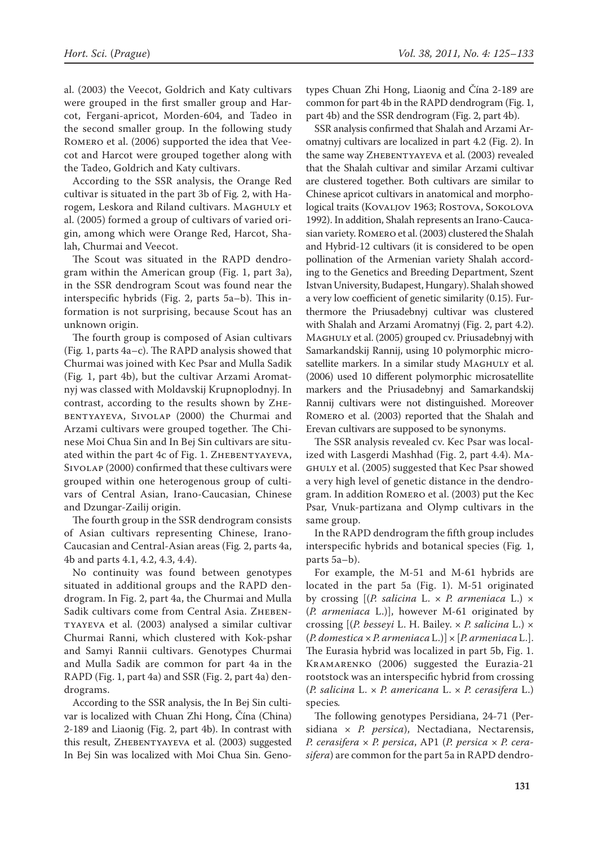al. (2003) the Veecot, Goldrich and Katy cultivars were grouped in the first smaller group and Harcot, Fergani-apricot, Morden-604, and Tadeo in the second smaller group. In the following study Romero et al. (2006) supported the idea that Veecot and Harcot were grouped together along with the Tadeo, Goldrich and Katy cultivars.

According to the SSR analysis, the Orange Red cultivar is situated in the part 3b of Fig*.* 2, with Harogem, Leskora and Riland cultivars. MAGHULY et al. (2005) formed a group of cultivars of varied origin, among which were Orange Red, Harcot, Shalah, Churmai and Veecot.

The Scout was situated in the RAPD dendrogram within the American group (Fig. 1, part 3a), in the SSR dendrogram Scout was found near the interspecific hybrids (Fig. 2, parts 5a–b). This information is not surprising, because Scout has an unknown origin.

The fourth group is composed of Asian cultivars (Fig*.* 1, parts 4a–c). The RAPD analysis showed that Churmai was joined with Kec Psar and Mulla Sadik (Fig*.* 1, part 4b), but the cultivar Arzami Aromatnyj was classed with Moldavskij Krupnoplodnyj. In contrast, according to the results shown by Zhebentyayeva, Sivolap (2000) the Churmai and Arzami cultivars were grouped together. The Chinese Moi Chua Sin and In Bej Sin cultivars are situated within the part 4c of Fig. 1. ZHEBENTYAYEVA, Sivolap (2000) confirmed that these cultivars were grouped within one heterogenous group of cultivars of Central Asian, Irano-Caucasian, Chinese and Dzungar-Zailij origin.

The fourth group in the SSR dendrogram consists of Asian cultivars representing Chinese, Irano-Caucasian and Central-Asian areas (Fig*.* 2, parts 4a, 4b and parts 4.1, 4.2, 4.3, 4.4).

No continuity was found between genotypes situated in additional groups and the RAPD dendrogram. In Fig. 2, part 4a, the Churmai and Mulla Sadik cultivars come from Central Asia. ZHEBENtyayeva et al. (2003) analysed a similar cultivar Churmai Ranni, which clustered with Kok-pshar and Samyi Rannii cultivars. Genotypes Churmai and Mulla Sadik are common for part 4a in the RAPD (Fig. 1, part 4a) and SSR (Fig. 2, part 4a) dendrograms.

According to the SSR analysis, the In Bej Sin cultivar is localized with Chuan Zhi Hong, Čína (China) 2-189 and Liaonig (Fig. 2, part 4b). In contrast with this result, ZHEBENTYAYEVA et al. (2003) suggested In Bej Sin was localized with Moi Chua Sin. Genotypes Chuan Zhi Hong, Liaonig and Čína 2-189 are common for part 4b in the RAPD dendrogram (Fig. 1, part 4b) and the SSR dendrogram (Fig. 2, part 4b).

SSR analysis confirmed that Shalah and Arzami Aromatnyj cultivars are localized in part 4.2 (Fig. 2). In the same way ZHEBENTYAYEVA et al. (2003) revealed that the Shalah cultivar and similar Arzami cultivar are clustered together. Both cultivars are similar to Chinese apricot cultivars in anatomical and morphological traits (KOVALJOV 1963; ROSTOVA, SOKOLOVA 1992). In addition, Shalah represents an Irano-Caucasian variety. Romero et al. (2003) clustered the Shalah and Hybrid-12 cultivars (it is considered to be open pollination of the Armenian variety Shalah according to the Genetics and Breeding Department, Szent Istvan University, Budapest, Hungary). Shalah showed a very low coefficient of genetic similarity (0.15). Furthermore the Priusadebnyj cultivar was clustered with Shalah and Arzami Aromatnyj (Fig. 2, part 4.2). MAGHULY et al. (2005) grouped cv. Priusadebnyj with Samarkandskij Rannij, using 10 polymorphic microsatellite markers. In a similar study MAGHULY et al. (2006) used 10 different polymorphic microsatellite markers and the Priusadebnyj and Samarkandskij Rannij cultivars were not distinguished. Moreover Romero et al. (2003) reported that the Shalah and Erevan cultivars are supposed to be synonyms.

The SSR analysis revealed cv. Kec Psar was localized with Lasgerdi Mashhad (Fig. 2, part 4.4). Maghuly et al. (2005) suggested that Kec Psar showed a very high level of genetic distance in the dendrogram. In addition Romero et al. (2003) put the Kec Psar, Vnuk-partizana and Olymp cultivars in the same group.

In the RAPD dendrogram the fifth group includes interspecific hybrids and botanical species (Fig*.* 1, parts 5a–b).

For example, the M-51 and M-61 hybrids are located in the part 5a (Fig. 1). M-51 originated by crossing [(*P. salicina* L. × *P. armeniaca* L.) × (*P. armeniaca* L.)], however M-61 originated by crossing [(*P. besseyi* L. H. Bailey. × *P. salicina* L.) × (*P. domestica* × *P. armeniaca* L.)] × [*P. armeniaca* L.]. The Eurasia hybrid was localized in part 5b, Fig. 1. Kramarenko (2006) suggested the Eurazia-21 rootstock was an interspecific hybrid from crossing (*P. salicina* L. × *P. americana* L. × *P. cerasifera* L.) species*.*

The following genotypes Persidiana, 24-71 (Persidiana × *P. persica*), Nectadiana, Nectarensis, *P. cerasifera* × *P. persica*, AP1 (*P. persica* × *P. cerasifera*) are common for the part 5a in RAPD dendro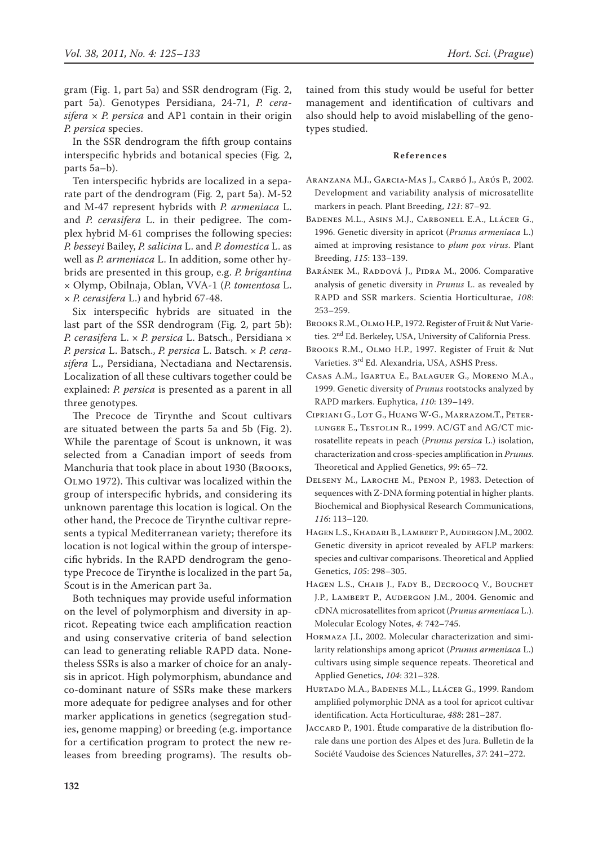gram (Fig. 1, part 5a) and SSR dendrogram (Fig. 2, part 5a). Genotypes Persidiana, 24-71, *P. cerasifera* × *P. persica* and AP1 contain in their origin *P. persica* species.

In the SSR dendrogram the fifth group contains interspecific hybrids and botanical species (Fig*.* 2, parts 5a–b).

Ten interspecific hybrids are localized in a separate part of the dendrogram (Fig*.* 2, part 5a). M-52 and M-47 represent hybrids with *P. armeniaca* L. and *P. cerasifera* L. in their pedigree. The complex hybrid M-61 comprises the following species: *P. besseyi* Bailey, *P. salicina* L. and *P. domestica* L. as well as *P. armeniaca* L. In addition, some other hybrids are presented in this group, e.g. *P. brigantina*  × Olymp, Obilnaja, Oblan, VVA-1 (*P. tomentosa* L. × *P. cerasifera* L.) and hybrid 67-48.

Six interspecific hybrids are situated in the last part of the SSR dendrogram (Fig*.* 2, part 5b): *P. cerasifera* L. × *P. persica* L. Batsch., Persidiana × *P. persica* L. Batsch., *P. persica* L. Batsch. × *P. cerasifera* L., Persidiana, Nectadiana and Nectarensis. Localization of all these cultivars together could be explained: *P. persica* is presented as a parent in all three genotypes*.* 

The Precoce de Tirynthe and Scout cultivars are situated between the parts 5a and 5b (Fig. 2). While the parentage of Scout is unknown, it was selected from a Canadian import of seeds from Manchuria that took place in about 1930 (Brooks, Olmo 1972). This cultivar was localized within the group of interspecific hybrids, and considering its unknown parentage this location is logical. On the other hand, the Precoce de Tirynthe cultivar represents a typical Mediterranean variety; therefore its location is not logical within the group of interspecific hybrids. In the RAPD dendrogram the genotype Precoce de Tirynthe is localized in the part 5a, Scout is in the American part 3a.

Both techniques may provide useful information on the level of polymorphism and diversity in apricot. Repeating twice each amplification reaction and using conservative criteria of band selection can lead to generating reliable RAPD data. Nonetheless SSRs is also a marker of choice for an analysis in apricot. High polymorphism, abundance and co-dominant nature of SSRs make these markers more adequate for pedigree analyses and for other marker applications in genetics (segregation studies, genome mapping) or breeding (e.g. importance for a certification program to protect the new releases from breeding programs). The results obtained from this study would be useful for better management and identification of cultivars and also should help to avoid mislabelling of the genotypes studied.

#### **References**

- Aranzana M.J., Garcia-Mas J., Carbó J., Arús P., 2002. Development and variability analysis of microsatellite markers in peach. Plant Breeding, *121*: 87–92.
- Badenes M.L., Asins M.J., Carbonell E.A., Llácer G., 1996. Genetic diversity in apricot (*Prunus armeniaca* L.) aimed at improving resistance to *plum pox virus*. Plant Breeding, *115*: 133–139.
- Baránek M., Raddová J., Pidra M., 2006. Comparative analysis of genetic diversity in *Prunus* L. as revealed by RAPD and SSR markers. Scientia Horticulturae, *108*: 253–259.
- Brooks R.M., Olmo H.P., 1972. Register of Fruit & Nut Varieties. 2nd Ed. Berkeley, USA, University of California Press.
- Brooks R.M., Olmo H.P., 1997. Register of Fruit & Nut Varieties. 3rd Ed. Alexandria, USA, ASHS Press.
- Casas A.M., Igartua E., Balaguer G., Moreno M.A., 1999. Genetic diversity of *Prunus* rootstocks analyzed by RAPD markers. Euphytica, *110*: 139–149.
- Cipriani G., Lot G., Huang W-G., Marrazom.T., Peter-LUNGER E., TESTOLIN R., 1999. AC/GT and AG/CT microsatellite repeats in peach (*Prunus persica* L.) isolation, characterization and cross-species amplification in *Prunus*. Theoretical and Applied Genetics, *99*: 65–72.
- Delseny M., Laroche M., Penon P., 1983. Detection of sequences with Z-DNA forming potential in higher plants. Biochemical and Biophysical Research Communications, *116*: 113–120.
- Hagen L.S., Khadari B., Lambert P., Audergon J.M., 2002. Genetic diversity in apricot revealed by AFLP markers: species and cultivar comparisons. Theoretical and Applied Genetics, *105*: 298–305.
- HAGEN L.S., CHAIB J., FADY B., DECROOCQ V., BOUCHET J.P., LAMBERT P., AUDERGON J.M., 2004. Genomic and cDNA microsatellites from apricot (*Prunus armeniaca* L.). Molecular Ecology Notes, *4*: 742–745.
- Hormaza J.I., 2002. Molecular characterization and similarity relationships among apricot (*Prunus armeniaca* L.) cultivars using simple sequence repeats. Theoretical and Applied Genetics, *104*: 321–328.
- Hurtado M.A., Badenes M.L., Llácer G., 1999. Random amplified polymorphic DNA as a tool for apricot cultivar identification. Acta Horticulturae, *488*: 281–287.
- JACCARD P., 1901. Étude comparative de la distribution florale dans une portion des Alpes et des Jura. Bulletin de la Société Vaudoise des Sciences Naturelles, *37*: 241–272.